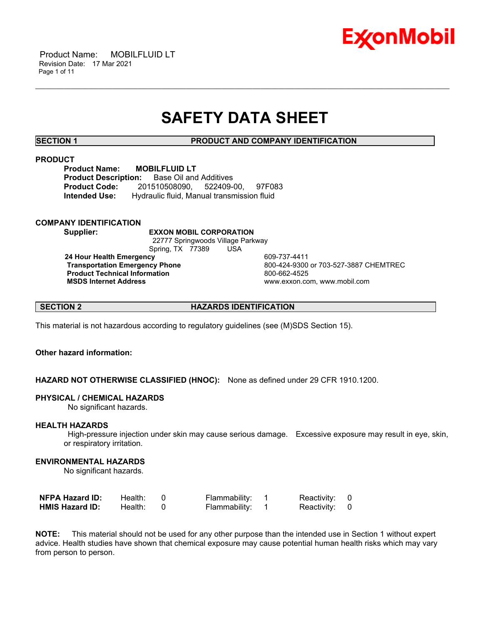

# **SAFETY DATA SHEET**

\_\_\_\_\_\_\_\_\_\_\_\_\_\_\_\_\_\_\_\_\_\_\_\_\_\_\_\_\_\_\_\_\_\_\_\_\_\_\_\_\_\_\_\_\_\_\_\_\_\_\_\_\_\_\_\_\_\_\_\_\_\_\_\_\_\_\_\_\_\_\_\_\_\_\_\_\_\_\_\_\_\_\_\_\_\_\_\_\_\_\_\_\_\_\_\_\_\_\_\_\_\_\_\_\_\_\_\_\_\_\_\_\_\_\_\_\_\_

**SECTION 1 PRODUCT AND COMPANY IDENTIFICATION**

### **PRODUCT**

**Product Name: MOBILFLUID LT Product Description:** Base Oil and Additives **Product Code:** 201510508090, 522409-00, 97F083 **Intended Use:** Hydraulic fluid, Manual transmission fluid

### **COMPANY IDENTIFICATION**

**Supplier: EXXON MOBIL CORPORATION**

 22777 Springwoods Village Parkway Spring, TX 77389 USA

**24 Hour Health Emergency 609-737-4411<br>Transportation Emergency Phone 609-424-9300 Product Technical Information**<br> **MSDS Internet Address**<br>
MSDS Internet Address

 **Transportation Emergency Phone** 800-424-9300 or 703-527-3887 CHEMTREC  **MSDS Internet Address** www.exxon.com, www.mobil.com

**SECTION 2 HAZARDS IDENTIFICATION**

This material is not hazardous according to regulatory guidelines (see (M)SDS Section 15).

### **Other hazard information:**

**HAZARD NOT OTHERWISE CLASSIFIED (HNOC):** None as defined under 29 CFR 1910.1200.

### **PHYSICAL / CHEMICAL HAZARDS**

No significant hazards.

### **HEALTH HAZARDS**

 High-pressure injection under skin may cause serious damage. Excessive exposure may result in eye, skin, or respiratory irritation.

### **ENVIRONMENTAL HAZARDS**

No significant hazards.

| <b>NFPA Hazard ID:</b> | Health: | Flammability: | Reactivity: 0 |  |
|------------------------|---------|---------------|---------------|--|
| <b>HMIS Hazard ID:</b> | Health: | Flammability: | Reactivity: 0 |  |

**NOTE:** This material should not be used for any other purpose than the intended use in Section 1 without expert advice. Health studies have shown that chemical exposure may cause potential human health risks which may vary from person to person.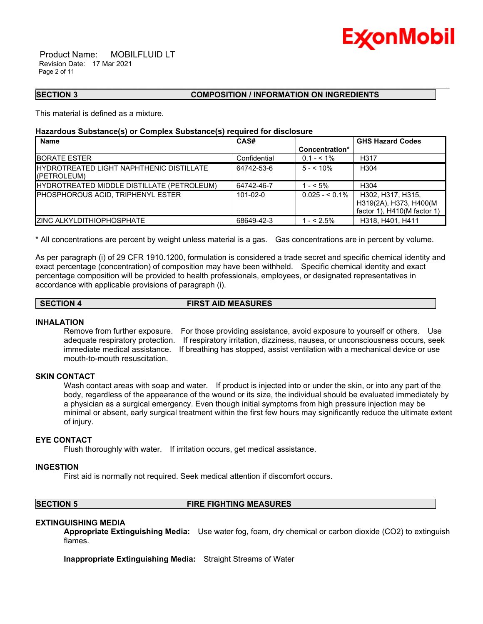

 Product Name: MOBILFLUID LT Revision Date: 17 Mar 2021 Page 2 of 11

### **SECTION 3 COMPOSITION / INFORMATION ON INGREDIENTS**

This material is defined as a mixture.

### **Hazardous Substance(s) or Complex Substance(s) required for disclosure**

| <b>Name</b>                                                     | CAS#           |                 | <b>GHS Hazard Codes</b>                                                       |
|-----------------------------------------------------------------|----------------|-----------------|-------------------------------------------------------------------------------|
|                                                                 |                | Concentration*  |                                                                               |
| <b>IBORATE ESTER</b>                                            | Confidential   | $0.1 - 5.1\%$   | H317                                                                          |
| <b>IHYDROTREATED LIGHT NAPHTHENIC DISTILLATE</b><br>(PETROLEUM) | 64742-53-6     | $5 - 10\%$      | H <sub>304</sub>                                                              |
| HYDROTREATED MIDDLE DISTILLATE (PETROLEUM)                      | 64742-46-7     | $1 - 5\%$       | H <sub>304</sub>                                                              |
| <b>IPHOSPHOROUS ACID. TRIPHENYL ESTER</b>                       | $101 - 02 - 0$ | $0.025 - 5.1\%$ | H302, H317, H315,<br>H319(2A), H373, H400(M)<br>factor 1), $H410(M$ factor 1) |
| <b>IZINC ALKYLDITHIOPHOSPHATE</b>                               | 68649-42-3     | $1 - 52.5\%$    | H318, H401, H411                                                              |

\_\_\_\_\_\_\_\_\_\_\_\_\_\_\_\_\_\_\_\_\_\_\_\_\_\_\_\_\_\_\_\_\_\_\_\_\_\_\_\_\_\_\_\_\_\_\_\_\_\_\_\_\_\_\_\_\_\_\_\_\_\_\_\_\_\_\_\_\_\_\_\_\_\_\_\_\_\_\_\_\_\_\_\_\_\_\_\_\_\_\_\_\_\_\_\_\_\_\_\_\_\_\_\_\_\_\_\_\_\_\_\_\_\_\_\_\_\_

\* All concentrations are percent by weight unless material is a gas. Gas concentrations are in percent by volume.

As per paragraph (i) of 29 CFR 1910.1200, formulation is considered a trade secret and specific chemical identity and exact percentage (concentration) of composition may have been withheld. Specific chemical identity and exact percentage composition will be provided to health professionals, employees, or designated representatives in accordance with applicable provisions of paragraph (i).

### **SECTION 4 FIRST AID MEASURES**

### **INHALATION**

Remove from further exposure. For those providing assistance, avoid exposure to yourself or others. Use adequate respiratory protection. If respiratory irritation, dizziness, nausea, or unconsciousness occurs, seek immediate medical assistance. If breathing has stopped, assist ventilation with a mechanical device or use mouth-to-mouth resuscitation.

### **SKIN CONTACT**

Wash contact areas with soap and water. If product is injected into or under the skin, or into any part of the body, regardless of the appearance of the wound or its size, the individual should be evaluated immediately by a physician as a surgical emergency. Even though initial symptoms from high pressure injection may be minimal or absent, early surgical treatment within the first few hours may significantly reduce the ultimate extent of injury.

### **EYE CONTACT**

Flush thoroughly with water. If irritation occurs, get medical assistance.

### **INGESTION**

First aid is normally not required. Seek medical attention if discomfort occurs.

### **SECTION 5 FIRE FIGHTING MEASURES**

### **EXTINGUISHING MEDIA**

**Appropriate Extinguishing Media:** Use water fog, foam, dry chemical or carbon dioxide (CO2) to extinguish flames.

**Inappropriate Extinguishing Media:** Straight Streams of Water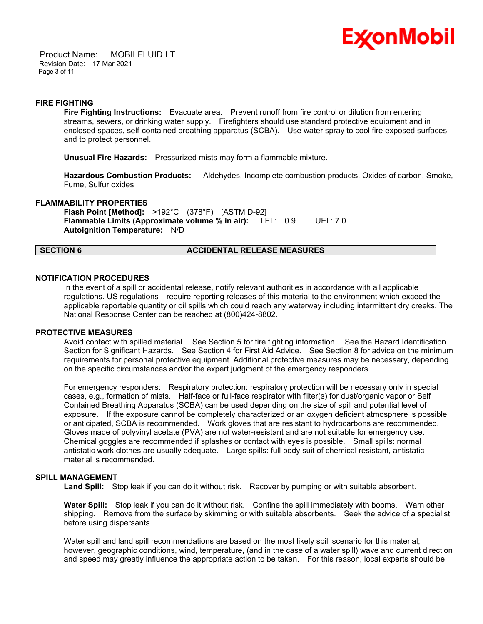

 Product Name: MOBILFLUID LT Revision Date: 17 Mar 2021 Page 3 of 11

### **FIRE FIGHTING**

**Fire Fighting Instructions:** Evacuate area. Prevent runoff from fire control or dilution from entering streams, sewers, or drinking water supply. Firefighters should use standard protective equipment and in enclosed spaces, self-contained breathing apparatus (SCBA). Use water spray to cool fire exposed surfaces and to protect personnel.

\_\_\_\_\_\_\_\_\_\_\_\_\_\_\_\_\_\_\_\_\_\_\_\_\_\_\_\_\_\_\_\_\_\_\_\_\_\_\_\_\_\_\_\_\_\_\_\_\_\_\_\_\_\_\_\_\_\_\_\_\_\_\_\_\_\_\_\_\_\_\_\_\_\_\_\_\_\_\_\_\_\_\_\_\_\_\_\_\_\_\_\_\_\_\_\_\_\_\_\_\_\_\_\_\_\_\_\_\_\_\_\_\_\_\_\_\_\_

**Unusual Fire Hazards:** Pressurized mists may form a flammable mixture.

**Hazardous Combustion Products:** Aldehydes, Incomplete combustion products, Oxides of carbon, Smoke, Fume, Sulfur oxides

### **FLAMMABILITY PROPERTIES**

**Flash Point [Method]:** >192°C (378°F) [ASTM D-92] **Flammable Limits (Approximate volume % in air):** LEL: 0.9 UEL: 7.0 **Autoignition Temperature:** N/D

### **SECTION 6 ACCIDENTAL RELEASE MEASURES**

### **NOTIFICATION PROCEDURES**

In the event of a spill or accidental release, notify relevant authorities in accordance with all applicable regulations. US regulations require reporting releases of this material to the environment which exceed the applicable reportable quantity or oil spills which could reach any waterway including intermittent dry creeks. The National Response Center can be reached at (800)424-8802.

### **PROTECTIVE MEASURES**

Avoid contact with spilled material. See Section 5 for fire fighting information. See the Hazard Identification Section for Significant Hazards. See Section 4 for First Aid Advice. See Section 8 for advice on the minimum requirements for personal protective equipment. Additional protective measures may be necessary, depending on the specific circumstances and/or the expert judgment of the emergency responders.

For emergency responders: Respiratory protection: respiratory protection will be necessary only in special cases, e.g., formation of mists. Half-face or full-face respirator with filter(s) for dust/organic vapor or Self Contained Breathing Apparatus (SCBA) can be used depending on the size of spill and potential level of exposure. If the exposure cannot be completely characterized or an oxygen deficient atmosphere is possible or anticipated, SCBA is recommended. Work gloves that are resistant to hydrocarbons are recommended. Gloves made of polyvinyl acetate (PVA) are not water-resistant and are not suitable for emergency use. Chemical goggles are recommended if splashes or contact with eyes is possible. Small spills: normal antistatic work clothes are usually adequate. Large spills: full body suit of chemical resistant, antistatic material is recommended.

### **SPILL MANAGEMENT**

Land Spill: Stop leak if you can do it without risk. Recover by pumping or with suitable absorbent.

**Water Spill:** Stop leak if you can do it without risk. Confine the spill immediately with booms. Warn other shipping. Remove from the surface by skimming or with suitable absorbents. Seek the advice of a specialist before using dispersants.

Water spill and land spill recommendations are based on the most likely spill scenario for this material; however, geographic conditions, wind, temperature, (and in the case of a water spill) wave and current direction and speed may greatly influence the appropriate action to be taken. For this reason, local experts should be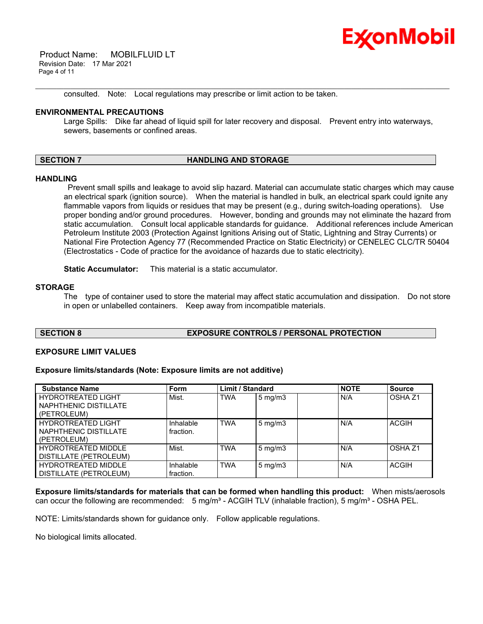

 Product Name: MOBILFLUID LT Revision Date: 17 Mar 2021 Page 4 of 11

consulted. Note: Local regulations may prescribe or limit action to be taken.

### **ENVIRONMENTAL PRECAUTIONS**

Large Spills: Dike far ahead of liquid spill for later recovery and disposal. Prevent entry into waterways, sewers, basements or confined areas.

\_\_\_\_\_\_\_\_\_\_\_\_\_\_\_\_\_\_\_\_\_\_\_\_\_\_\_\_\_\_\_\_\_\_\_\_\_\_\_\_\_\_\_\_\_\_\_\_\_\_\_\_\_\_\_\_\_\_\_\_\_\_\_\_\_\_\_\_\_\_\_\_\_\_\_\_\_\_\_\_\_\_\_\_\_\_\_\_\_\_\_\_\_\_\_\_\_\_\_\_\_\_\_\_\_\_\_\_\_\_\_\_\_\_\_\_\_\_

### **SECTION 7 HANDLING AND STORAGE**

### **HANDLING**

 Prevent small spills and leakage to avoid slip hazard. Material can accumulate static charges which may cause an electrical spark (ignition source). When the material is handled in bulk, an electrical spark could ignite any flammable vapors from liquids or residues that may be present (e.g., during switch-loading operations). Use proper bonding and/or ground procedures. However, bonding and grounds may not eliminate the hazard from static accumulation. Consult local applicable standards for guidance. Additional references include American Petroleum Institute 2003 (Protection Against Ignitions Arising out of Static, Lightning and Stray Currents) or National Fire Protection Agency 77 (Recommended Practice on Static Electricity) or CENELEC CLC/TR 50404 (Electrostatics - Code of practice for the avoidance of hazards due to static electricity).

**Static Accumulator:** This material is a static accumulator.

### **STORAGE**

The type of container used to store the material may affect static accumulation and dissipation. Do not store in open or unlabelled containers. Keep away from incompatible materials.

### **SECTION 8 EXPOSURE CONTROLS / PERSONAL PROTECTION**

### **EXPOSURE LIMIT VALUES**

### **Exposure limits/standards (Note: Exposure limits are not additive)**

| <b>Substance Name</b>                                             | Form                   | <b>Limit / Standard</b> |                    | <b>NOTE</b> | <b>Source</b>      |
|-------------------------------------------------------------------|------------------------|-------------------------|--------------------|-------------|--------------------|
| <b>HYDROTREATED LIGHT</b><br>NAPHTHENIC DISTILLATE<br>(PETROLEUM) | Mist.                  | <b>TWA</b>              | $5 \text{ mg/m}$   | N/A         | OSHA <sub>Z1</sub> |
| <b>HYDROTREATED LIGHT</b><br>NAPHTHENIC DISTILLATE<br>(PETROLEUM) | Inhalable<br>fraction. | <b>TWA</b>              | $5 \text{ mg/m}$ 3 | N/A         | <b>ACGIH</b>       |
| <b>HYDROTREATED MIDDLE</b><br>DISTILLATE (PETROLEUM)              | Mist.                  | <b>TWA</b>              | $5 \text{ mg/m}$   | N/A         | OSHA <sub>Z1</sub> |
| <b>HYDROTREATED MIDDLE</b><br>DISTILLATE (PETROLEUM)              | Inhalable<br>fraction. | <b>TWA</b>              | $5 \text{ mg/m}$   | N/A         | <b>ACGIH</b>       |

**Exposure limits/standards for materials that can be formed when handling this product:** When mists/aerosols can occur the following are recommended:  $5 \text{ mg/m}^3$  - ACGIH TLV (inhalable fraction),  $5 \text{ mg/m}^3$  - OSHA PEL.

NOTE: Limits/standards shown for guidance only. Follow applicable regulations.

No biological limits allocated.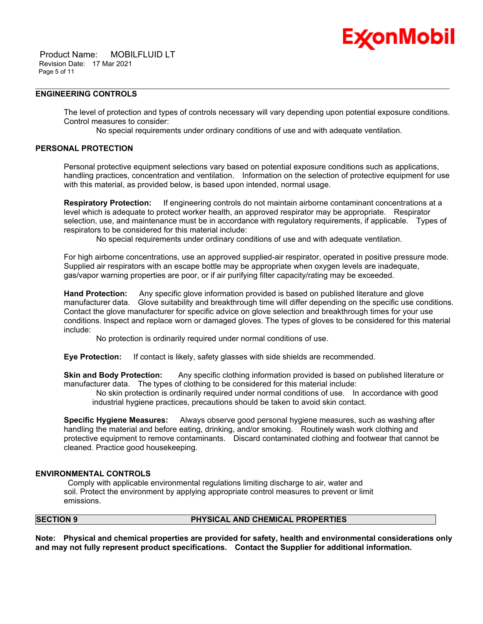

### **ENGINEERING CONTROLS**

The level of protection and types of controls necessary will vary depending upon potential exposure conditions. Control measures to consider:

No special requirements under ordinary conditions of use and with adequate ventilation.

\_\_\_\_\_\_\_\_\_\_\_\_\_\_\_\_\_\_\_\_\_\_\_\_\_\_\_\_\_\_\_\_\_\_\_\_\_\_\_\_\_\_\_\_\_\_\_\_\_\_\_\_\_\_\_\_\_\_\_\_\_\_\_\_\_\_\_\_\_\_\_\_\_\_\_\_\_\_\_\_\_\_\_\_\_\_\_\_\_\_\_\_\_\_\_\_\_\_\_\_\_\_\_\_\_\_\_\_\_\_\_\_\_\_\_\_\_\_

### **PERSONAL PROTECTION**

Personal protective equipment selections vary based on potential exposure conditions such as applications, handling practices, concentration and ventilation. Information on the selection of protective equipment for use with this material, as provided below, is based upon intended, normal usage.

**Respiratory Protection:** If engineering controls do not maintain airborne contaminant concentrations at a level which is adequate to protect worker health, an approved respirator may be appropriate. Respirator selection, use, and maintenance must be in accordance with regulatory requirements, if applicable. Types of respirators to be considered for this material include:

No special requirements under ordinary conditions of use and with adequate ventilation.

For high airborne concentrations, use an approved supplied-air respirator, operated in positive pressure mode. Supplied air respirators with an escape bottle may be appropriate when oxygen levels are inadequate, gas/vapor warning properties are poor, or if air purifying filter capacity/rating may be exceeded.

**Hand Protection:** Any specific glove information provided is based on published literature and glove manufacturer data. Glove suitability and breakthrough time will differ depending on the specific use conditions. Contact the glove manufacturer for specific advice on glove selection and breakthrough times for your use conditions. Inspect and replace worn or damaged gloves. The types of gloves to be considered for this material include:

No protection is ordinarily required under normal conditions of use.

**Eye Protection:** If contact is likely, safety glasses with side shields are recommended.

**Skin and Body Protection:** Any specific clothing information provided is based on published literature or manufacturer data. The types of clothing to be considered for this material include:

 No skin protection is ordinarily required under normal conditions of use. In accordance with good industrial hygiene practices, precautions should be taken to avoid skin contact.

**Specific Hygiene Measures:** Always observe good personal hygiene measures, such as washing after handling the material and before eating, drinking, and/or smoking. Routinely wash work clothing and protective equipment to remove contaminants. Discard contaminated clothing and footwear that cannot be cleaned. Practice good housekeeping.

### **ENVIRONMENTAL CONTROLS**

 Comply with applicable environmental regulations limiting discharge to air, water and soil. Protect the environment by applying appropriate control measures to prevent or limit emissions.

### **SECTION 9 PHYSICAL AND CHEMICAL PROPERTIES**

**Note: Physical and chemical properties are provided for safety, health and environmental considerations only and may not fully represent product specifications. Contact the Supplier for additional information.**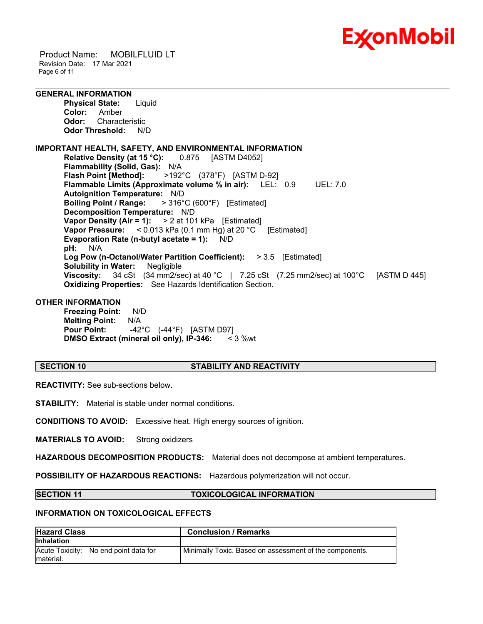

 Product Name: MOBILFLUID LT Revision Date: 17 Mar 2021 Page 6 of 11

## **GENERAL INFORMATION**

**Physical State:** Liquid **Color:** Amber **Odor:** Characteristic **Odor Threshold:** N/D

### **IMPORTANT HEALTH, SAFETY, AND ENVIRONMENTAL INFORMATION Relative Density (at 15 °C):** 0.875 [ASTM D4052] **Flammability (Solid, Gas):** N/A **Flash Point [Method]:** >192°C (378°F) [ASTM D-92] **Flammable Limits (Approximate volume % in air):** LEL: 0.9 UEL: 7.0 **Autoignition Temperature:** N/D **Boiling Point / Range:** > 316°C (600°F) [Estimated] **Decomposition Temperature:** N/D **Vapor Density (Air = 1):** > 2 at 101 kPa [Estimated] **Vapor Pressure:** < 0.013 kPa (0.1 mm Hg) at 20 °C [Estimated] **Evaporation Rate (n-butyl acetate = 1):** N/D **pH:** N/A **Log Pow (n-Octanol/Water Partition Coefficient):** > 3.5 [Estimated] **Solubility in Water:** Negligible **Viscosity:** 34 cSt (34 mm2/sec) at 40 °C | 7.25 cSt (7.25 mm2/sec) at 100 °C [ASTM D 445] **Oxidizing Properties:** See Hazards Identification Section.

\_\_\_\_\_\_\_\_\_\_\_\_\_\_\_\_\_\_\_\_\_\_\_\_\_\_\_\_\_\_\_\_\_\_\_\_\_\_\_\_\_\_\_\_\_\_\_\_\_\_\_\_\_\_\_\_\_\_\_\_\_\_\_\_\_\_\_\_\_\_\_\_\_\_\_\_\_\_\_\_\_\_\_\_\_\_\_\_\_\_\_\_\_\_\_\_\_\_\_\_\_\_\_\_\_\_\_\_\_\_\_\_\_\_\_\_\_\_

### **OTHER INFORMATION**

**Freezing Point:** N/D **Melting Point:** N/A **Pour Point:** -42°C (-44°F) [ASTM D97] **DMSO Extract (mineral oil only), IP-346:** < 3 %wt

### **SECTION 10 STABILITY AND REACTIVITY**

**REACTIVITY:** See sub-sections below.

**STABILITY:** Material is stable under normal conditions.

**CONDITIONS TO AVOID:** Excessive heat. High energy sources of ignition.

**MATERIALS TO AVOID:** Strong oxidizers

**HAZARDOUS DECOMPOSITION PRODUCTS:** Material does not decompose at ambient temperatures.

**POSSIBILITY OF HAZARDOUS REACTIONS:** Hazardous polymerization will not occur.

### **SECTION 11 TOXICOLOGICAL INFORMATION**

### **INFORMATION ON TOXICOLOGICAL EFFECTS**

| <b>Hazard Class</b>                                 | <b>Conclusion / Remarks</b>                             |
|-----------------------------------------------------|---------------------------------------------------------|
| <b>Inhalation</b>                                   |                                                         |
| Acute Toxicity: No end point data for<br>Imaterial. | Minimally Toxic. Based on assessment of the components. |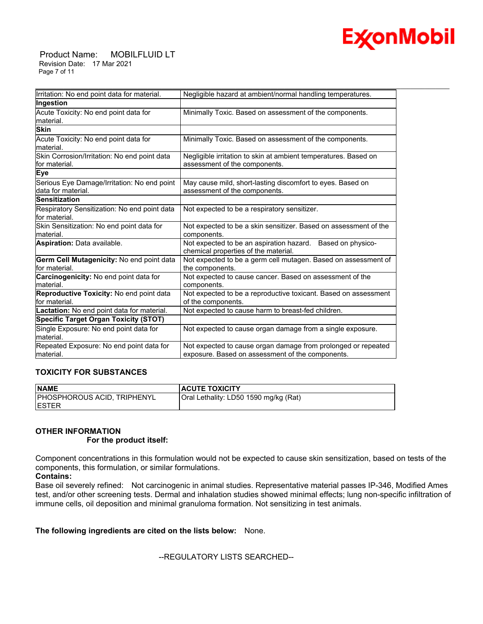

 Product Name: MOBILFLUID LT Revision Date: 17 Mar 2021 Page 7 of 11

| Irritation: No end point data for material.                       | Negligible hazard at ambient/normal handling temperatures.                                                        |
|-------------------------------------------------------------------|-------------------------------------------------------------------------------------------------------------------|
| Ingestion                                                         |                                                                                                                   |
| Acute Toxicity: No end point data for<br>material.                | Minimally Toxic. Based on assessment of the components.                                                           |
| <b>Skin</b>                                                       |                                                                                                                   |
| Acute Toxicity: No end point data for<br>lmaterial.               | Minimally Toxic. Based on assessment of the components.                                                           |
| Skin Corrosion/Irritation: No end point data<br>lfor material.    | Negligible irritation to skin at ambient temperatures. Based on<br>assessment of the components.                  |
| Eye                                                               |                                                                                                                   |
| Serious Eye Damage/Irritation: No end point<br>data for material. | May cause mild, short-lasting discomfort to eyes. Based on<br>assessment of the components.                       |
| <b>Sensitization</b>                                              |                                                                                                                   |
| Respiratory Sensitization: No end point data<br>for material.     | Not expected to be a respiratory sensitizer.                                                                      |
| Skin Sensitization: No end point data for<br>lmaterial.           | Not expected to be a skin sensitizer. Based on assessment of the<br>components.                                   |
| Aspiration: Data available.                                       | Not expected to be an aspiration hazard. Based on physico-<br>chemical properties of the material.                |
| Germ Cell Mutagenicity: No end point data<br>for material.        | Not expected to be a germ cell mutagen. Based on assessment of<br>the components.                                 |
| Carcinogenicity: No end point data for<br>lmaterial.              | Not expected to cause cancer. Based on assessment of the<br>components.                                           |
| Reproductive Toxicity: No end point data<br>for material.         | Not expected to be a reproductive toxicant. Based on assessment<br>of the components.                             |
| Lactation: No end point data for material.                        | Not expected to cause harm to breast-fed children.                                                                |
| <b>Specific Target Organ Toxicity (STOT)</b>                      |                                                                                                                   |
| Single Exposure: No end point data for<br>lmaterial.              | Not expected to cause organ damage from a single exposure.                                                        |
| Repeated Exposure: No end point data for<br>material.             | Not expected to cause organ damage from prolonged or repeated<br>exposure. Based on assessment of the components. |

### **TOXICITY FOR SUBSTANCES**

| <b>NAME</b>                        | <b>ACUTE TOXICITY</b>                 |
|------------------------------------|---------------------------------------|
| <b>PHOSPHOROUS ACID, TRIPHENYL</b> | Oral Lethality: LD50 1590 mg/kg (Rat) |
| IESTER                             |                                       |

### **OTHER INFORMATION**

### **For the product itself:**

Component concentrations in this formulation would not be expected to cause skin sensitization, based on tests of the components, this formulation, or similar formulations.

### **Contains:**

Base oil severely refined: Not carcinogenic in animal studies. Representative material passes IP-346, Modified Ames test, and/or other screening tests. Dermal and inhalation studies showed minimal effects; lung non-specific infiltration of immune cells, oil deposition and minimal granuloma formation. Not sensitizing in test animals.

### **The following ingredients are cited on the lists below:** None.

### --REGULATORY LISTS SEARCHED--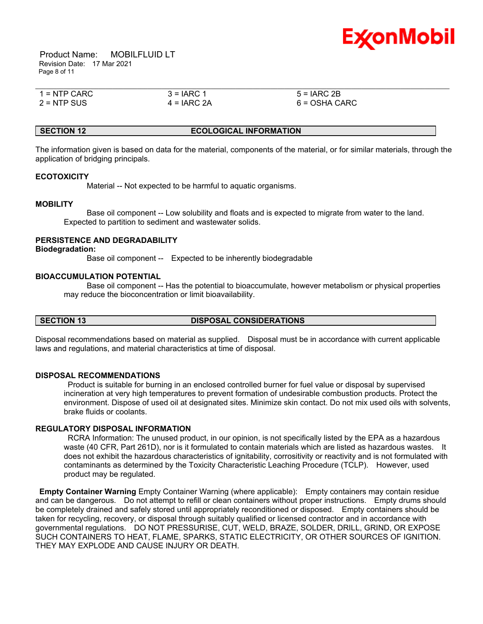

 Product Name: MOBILFLUID LT Revision Date: 17 Mar 2021 Page 8 of 11

| $1 =$ NTP CARC | $3 = IARC 1$  | $5 = IARC 2B$   |  |
|----------------|---------------|-----------------|--|
| $2 =$ NTP SUS  | $4 = IARC 2A$ | $6 = OSHA CARC$ |  |

### **SECTION 12 ECOLOGICAL INFORMATION**

The information given is based on data for the material, components of the material, or for similar materials, through the application of bridging principals.

### **ECOTOXICITY**

Material -- Not expected to be harmful to aquatic organisms.

### **MOBILITY**

 Base oil component -- Low solubility and floats and is expected to migrate from water to the land. Expected to partition to sediment and wastewater solids.

### **PERSISTENCE AND DEGRADABILITY**

### **Biodegradation:**

Base oil component -- Expected to be inherently biodegradable

### **BIOACCUMULATION POTENTIAL**

 Base oil component -- Has the potential to bioaccumulate, however metabolism or physical properties may reduce the bioconcentration or limit bioavailability.

### **SECTION 13 DISPOSAL CONSIDERATIONS**

Disposal recommendations based on material as supplied. Disposal must be in accordance with current applicable laws and regulations, and material characteristics at time of disposal.

### **DISPOSAL RECOMMENDATIONS**

 Product is suitable for burning in an enclosed controlled burner for fuel value or disposal by supervised incineration at very high temperatures to prevent formation of undesirable combustion products. Protect the environment. Dispose of used oil at designated sites. Minimize skin contact. Do not mix used oils with solvents, brake fluids or coolants.

### **REGULATORY DISPOSAL INFORMATION**

 RCRA Information: The unused product, in our opinion, is not specifically listed by the EPA as a hazardous waste (40 CFR, Part 261D), nor is it formulated to contain materials which are listed as hazardous wastes. It does not exhibit the hazardous characteristics of ignitability, corrositivity or reactivity and is not formulated with contaminants as determined by the Toxicity Characteristic Leaching Procedure (TCLP). However, used product may be regulated.

**Empty Container Warning** Empty Container Warning (where applicable): Empty containers may contain residue and can be dangerous. Do not attempt to refill or clean containers without proper instructions. Empty drums should be completely drained and safely stored until appropriately reconditioned or disposed. Empty containers should be taken for recycling, recovery, or disposal through suitably qualified or licensed contractor and in accordance with governmental regulations. DO NOT PRESSURISE, CUT, WELD, BRAZE, SOLDER, DRILL, GRIND, OR EXPOSE SUCH CONTAINERS TO HEAT, FLAME, SPARKS, STATIC ELECTRICITY, OR OTHER SOURCES OF IGNITION. THEY MAY EXPLODE AND CAUSE INJURY OR DEATH.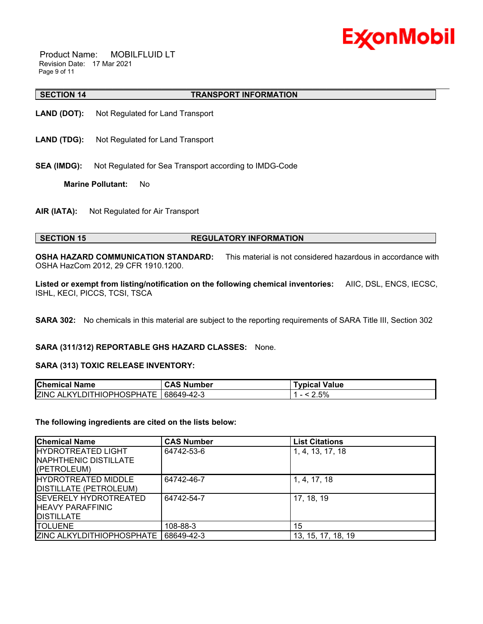

 Product Name: MOBILFLUID LT Revision Date: 17 Mar 2021 Page 9 of 11

### **SECTION 14 TRANSPORT INFORMATION**

- **LAND (DOT):** Not Regulated for Land Transport
- **LAND (TDG):** Not Regulated for Land Transport
- **SEA (IMDG):** Not Regulated for Sea Transport according to IMDG-Code

**Marine Pollutant:** No

**AIR (IATA):** Not Regulated for Air Transport

### **SECTION 15 REGULATORY INFORMATION**

**OSHA HAZARD COMMUNICATION STANDARD:** This material is not considered hazardous in accordance with OSHA HazCom 2012, 29 CFR 1910.1200.

\_\_\_\_\_\_\_\_\_\_\_\_\_\_\_\_\_\_\_\_\_\_\_\_\_\_\_\_\_\_\_\_\_\_\_\_\_\_\_\_\_\_\_\_\_\_\_\_\_\_\_\_\_\_\_\_\_\_\_\_\_\_\_\_\_\_\_\_\_\_\_\_\_\_\_\_\_\_\_\_\_\_\_\_\_\_\_\_\_\_\_\_\_\_\_\_\_\_\_\_\_\_\_\_\_\_\_\_\_\_\_\_\_\_\_\_\_\_

**Listed or exempt from listing/notification on the following chemical inventories:** AIIC, DSL, ENCS, IECSC, ISHL, KECI, PICCS, TCSI, TSCA

**SARA 302:** No chemicals in this material are subject to the reporting requirements of SARA Title III, Section 302

### **SARA (311/312) REPORTABLE GHS HAZARD CLASSES:** None.

### **SARA (313) TOXIC RELEASE INVENTORY:**

| <b>Chemical Name</b>                   | <b>CAS Number</b> | <b>Typical Value</b> |
|----------------------------------------|-------------------|----------------------|
| ZINC ALKYLDITHIOPHOSPHATE   68649-42-3 |                   | .5%                  |

### **The following ingredients are cited on the lists below:**

| <b>Chemical Name</b>                                                            | <b>CAS Number</b> | <b>List Citations</b> |
|---------------------------------------------------------------------------------|-------------------|-----------------------|
| <b>IHYDROTREATED LIGHT</b><br>INAPHTHENIC DISTILLATE<br>(PETROLEUM)             | 64742-53-6        | 1, 4, 13, 17, 18      |
| <b>IHYDROTREATED MIDDLE</b><br>DISTILLATE (PETROLEUM)                           | 64742-46-7        | 1, 4, 17, 18          |
| <b>ISEVERELY HYDROTREATED</b><br><b>IHEAVY PARAFFINIC</b><br><b>IDISTILLATE</b> | 64742-54-7        | 17, 18, 19            |
| <b>ITOLUENE</b>                                                                 | 108-88-3          | 15                    |
| <b>ZINC ALKYLDITHIOPHOSPHATE</b>                                                | 68649-42-3        | 13, 15, 17, 18, 19    |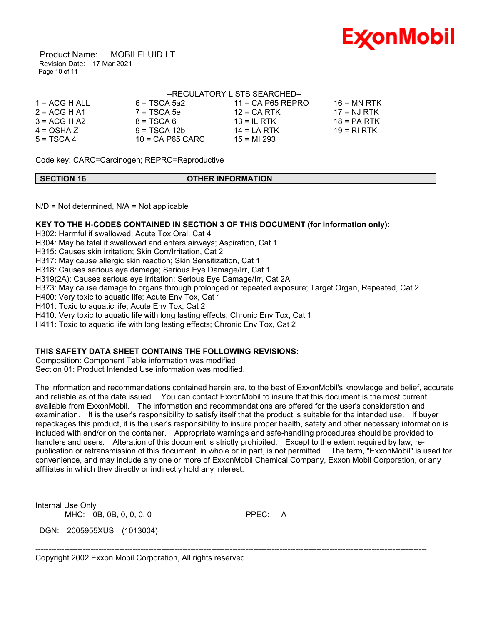

 Product Name: MOBILFLUID LT Revision Date: 17 Mar 2021 Page 10 of 11

|                 |                    | --REGULATORY LISTS SEARCHED-- |               |  |
|-----------------|--------------------|-------------------------------|---------------|--|
| $1 = ACGIH ALL$ | 6 = TSCA 5a2       | $11 = CA$ P65 REPRO           | $16 = MN$ RTK |  |
| $2 = ACGIH A1$  | $7 = TSCA5e$       | $12$ = CA RTK                 | $17 = NJ RTK$ |  |
| $3 = ACGIH A2$  | $8 = TSCA6$        | 13 = IL RTK                   | $18 = PA RTK$ |  |
| $4 = OSHA Z$    | $9 = TSCA 12b$     | $14 = LA RTK$                 | 19 = RI RTK   |  |
| $5 = TSCA4$     | $10$ = CA P65 CARC | $15 = M1293$                  |               |  |

Code key: CARC=Carcinogen; REPRO=Reproductive

| <b>SECTION 16</b> | <b>OTHER INFORMATION</b> |  |
|-------------------|--------------------------|--|

 $N/D$  = Not determined,  $N/A$  = Not applicable

### **KEY TO THE H-CODES CONTAINED IN SECTION 3 OF THIS DOCUMENT (for information only):**

H302: Harmful if swallowed; Acute Tox Oral, Cat 4

H304: May be fatal if swallowed and enters airways; Aspiration, Cat 1

H315: Causes skin irritation; Skin Corr/Irritation, Cat 2

H317: May cause allergic skin reaction; Skin Sensitization, Cat 1

H318: Causes serious eye damage; Serious Eye Damage/Irr, Cat 1

H319(2A): Causes serious eye irritation; Serious Eye Damage/Irr, Cat 2A

H373: May cause damage to organs through prolonged or repeated exposure; Target Organ, Repeated, Cat 2

H400: Very toxic to aquatic life; Acute Env Tox, Cat 1

H401: Toxic to aquatic life; Acute Env Tox, Cat 2

H410: Very toxic to aquatic life with long lasting effects; Chronic Env Tox, Cat 1

H411: Toxic to aquatic life with long lasting effects; Chronic Env Tox, Cat 2

### **THIS SAFETY DATA SHEET CONTAINS THE FOLLOWING REVISIONS:**

Composition: Component Table information was modified.

Section 01: Product Intended Use information was modified. -----------------------------------------------------------------------------------------------------------------------------------------------------

The information and recommendations contained herein are, to the best of ExxonMobil's knowledge and belief, accurate and reliable as of the date issued. You can contact ExxonMobil to insure that this document is the most current available from ExxonMobil. The information and recommendations are offered for the user's consideration and examination. It is the user's responsibility to satisfy itself that the product is suitable for the intended use. If buyer repackages this product, it is the user's responsibility to insure proper health, safety and other necessary information is included with and/or on the container. Appropriate warnings and safe-handling procedures should be provided to handlers and users. Alteration of this document is strictly prohibited. Except to the extent required by law, republication or retransmission of this document, in whole or in part, is not permitted. The term, "ExxonMobil" is used for convenience, and may include any one or more of ExxonMobil Chemical Company, Exxon Mobil Corporation, or any affiliates in which they directly or indirectly hold any interest.

-----------------------------------------------------------------------------------------------------------------------------------------------------

-----------------------------------------------------------------------------------------------------------------------------------------------------

Internal Use Only

MHC: 0B, 0B, 0, 0, 0, 0 PPEC: A

DGN: 2005955XUS (1013004)

Copyright 2002 Exxon Mobil Corporation, All rights reserved